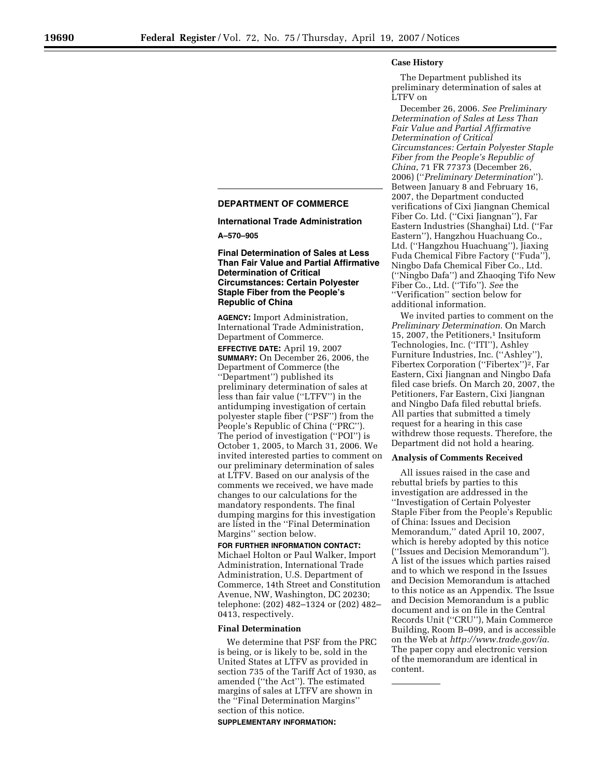### **Case History**

The Department published its preliminary determination of sales at LTFV on

December 26, 2006. *See Preliminary Determination of Sales at Less Than Fair Value and Partial Affirmative Determination of Critical Circumstances: Certain Polyester Staple Fiber from the People's Republic of China*, 71 FR 77373 (December 26, 2006) (''*Preliminary Determination*''). Between January 8 and February 16, 2007, the Department conducted verifications of Cixi Jiangnan Chemical Fiber Co. Ltd. (''Cixi Jiangnan''), Far Eastern Industries (Shanghai) Ltd. (''Far Eastern''), Hangzhou Huachuang Co., Ltd. (''Hangzhou Huachuang''), Jiaxing Fuda Chemical Fibre Factory (''Fuda''), Ningbo Dafa Chemical Fiber Co., Ltd. (''Ningbo Dafa'') and Zhaoqing Tifo New Fiber Co., Ltd. (''Tifo''). *See* the ''Verification'' section below for additional information.

We invited parties to comment on the *Preliminary Determination*. On March 15, 2007, the Petitioners,<sup>1</sup> Insituform Technologies, Inc. (''ITI''), Ashley Furniture Industries, Inc. (''Ashley''), Fibertex Corporation ("Fibertex")<sup>2</sup>, Far Eastern, Cixi Jiangnan and Ningbo Dafa filed case briefs. On March 20, 2007, the Petitioners, Far Eastern, Cixi Jiangnan and Ningbo Dafa filed rebuttal briefs. All parties that submitted a timely request for a hearing in this case withdrew those requests. Therefore, the Department did not hold a hearing.

### **Analysis of Comments Received**

All issues raised in the case and rebuttal briefs by parties to this investigation are addressed in the ''Investigation of Certain Polyester Staple Fiber from the People's Republic of China: Issues and Decision Memorandum,'' dated April 10, 2007, which is hereby adopted by this notice (''Issues and Decision Memorandum''). A list of the issues which parties raised and to which we respond in the Issues and Decision Memorandum is attached to this notice as an Appendix. The Issue and Decision Memorandum is a public document and is on file in the Central Records Unit (''CRU''), Main Commerce Building, Room B–099, and is accessible on the Web at *http://www.trade.gov/ia*. The paper copy and electronic version of the memorandum are identical in content.

# **DEPARTMENT OF COMMERCE**

**International Trade Administration** 

**A–570–905** 

## **Final Determination of Sales at Less Than Fair Value and Partial Affirmative Determination of Critical Circumstances: Certain Polyester Staple Fiber from the People's Republic of China**

**AGENCY:** Import Administration, International Trade Administration, Department of Commerce.

**EFFECTIVE DATE:** April 19, 2007 **SUMMARY:** On December 26, 2006, the Department of Commerce (the ''Department'') published its preliminary determination of sales at less than fair value (''LTFV'') in the antidumping investigation of certain polyester staple fiber (''PSF'') from the People's Republic of China (''PRC''). The period of investigation (''POI'') is October 1, 2005, to March 31, 2006. We invited interested parties to comment on our preliminary determination of sales at LTFV. Based on our analysis of the comments we received, we have made changes to our calculations for the mandatory respondents. The final dumping margins for this investigation are listed in the ''Final Determination Margins'' section below.

**FOR FURTHER INFORMATION CONTACT:**  Michael Holton or Paul Walker, Import Administration, International Trade Administration, U.S. Department of Commerce, 14th Street and Constitution Avenue, NW, Washington, DC 20230; telephone: (202) 482–1324 or (202) 482– 0413, respectively.

### **Final Determination**

We determine that PSF from the PRC is being, or is likely to be, sold in the United States at LTFV as provided in section 735 of the Tariff Act of 1930, as amended (''the Act''). The estimated margins of sales at LTFV are shown in the ''Final Determination Margins'' section of this notice.

**SUPPLEMENTARY INFORMATION:**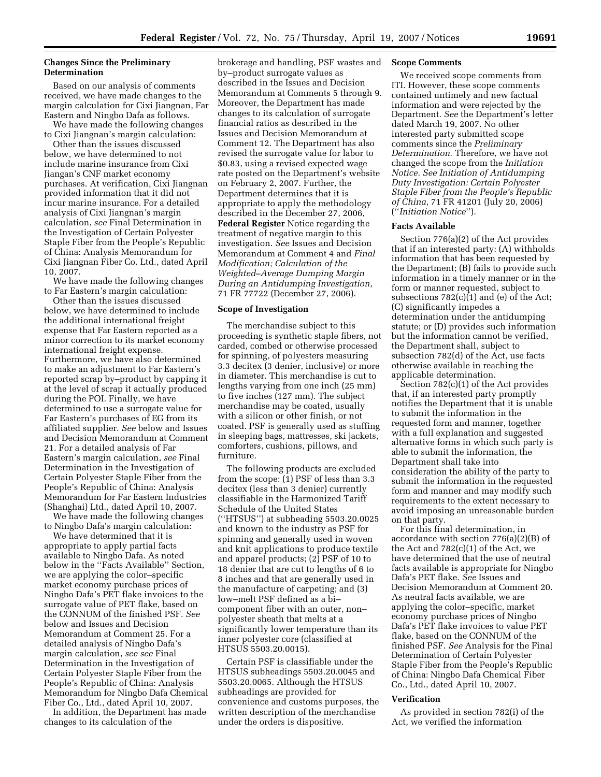## **Changes Since the Preliminary Determination**

Based on our analysis of comments received, we have made changes to the margin calculation for Cixi Jiangnan, Far Eastern and Ningbo Dafa as follows.

We have made the following changes to Cixi Jiangnan's margin calculation:

Other than the issues discussed below, we have determined to not include marine insurance from Cixi Jiangan's CNF market economy purchases. At verification, Cixi Jiangnan provided information that it did not incur marine insurance. For a detailed analysis of Cixi Jiangnan's margin calculation, *see* Final Determination in the Investigation of Certain Polyester Staple Fiber from the People's Republic of China: Analysis Memorandum for Cixi Jiangnan Fiber Co. Ltd., dated April 10, 2007.

We have made the following changes to Far Eastern's margin calculation:

Other than the issues discussed below, we have determined to include the additional international freight expense that Far Eastern reported as a minor correction to its market economy international freight expense. Furthermore, we have also determined to make an adjustment to Far Eastern's reported scrap by–product by capping it at the level of scrap it actually produced during the POI. Finally, we have determined to use a surrogate value for Far Eastern's purchases of EG from its affiliated supplier. *See* below and Issues and Decision Memorandum at Comment 21. For a detailed analysis of Far Eastern's margin calculation, *see* Final Determination in the Investigation of Certain Polyester Staple Fiber from the People's Republic of China: Analysis Memorandum for Far Eastern Industries (Shanghai) Ltd., dated April 10, 2007.

We have made the following changes to Ningbo Dafa's margin calculation:

We have determined that it is appropriate to apply partial facts available to Ningbo Dafa. As noted below in the ''Facts Available'' Section, we are applying the color–specific market economy purchase prices of Ningbo Dafa's PET flake invoices to the surrogate value of PET flake, based on the CONNUM of the finished PSF. *See*  below and Issues and Decision Memorandum at Comment 25. For a detailed analysis of Ningbo Dafa's margin calculation, *see see* Final Determination in the Investigation of Certain Polyester Staple Fiber from the People's Republic of China: Analysis Memorandum for Ningbo Dafa Chemical Fiber Co., Ltd., dated April 10, 2007.

In addition, the Department has made changes to its calculation of the

brokerage and handling, PSF wastes and by–product surrogate values as described in the Issues and Decision Memorandum at Comments 5 through 9. Moreover, the Department has made changes to its calculation of surrogate financial ratios as described in the Issues and Decision Memorandum at Comment 12. The Department has also revised the surrogate value for labor to \$0.83, using a revised expected wage rate posted on the Department's website on February 2, 2007. Further, the Department determines that it is appropriate to apply the methodology described in the December 27, 2006, **Federal Register** Notice regarding the treatment of negative margin to this investigation. *See* Issues and Decision Memorandum at Comment 4 and *Final Modification; Calculation of the Weighted–Average Dumping Margin During an Antidumping Investigation*, 71 FR 77722 (December 27, 2006).

#### **Scope of Investigation**

The merchandise subject to this proceeding is synthetic staple fibers, not carded, combed or otherwise processed for spinning, of polyesters measuring 3.3 decitex (3 denier, inclusive) or more in diameter. This merchandise is cut to lengths varying from one inch (25 mm) to five inches (127 mm). The subject merchandise may be coated, usually with a silicon or other finish, or not coated. PSF is generally used as stuffing in sleeping bags, mattresses, ski jackets, comforters, cushions, pillows, and furniture.

The following products are excluded from the scope: (1) PSF of less than 3.3 decitex (less than 3 denier) currently classifiable in the Harmonized Tariff Schedule of the United States (''HTSUS'') at subheading 5503.20.0025 and known to the industry as PSF for spinning and generally used in woven and knit applications to produce textile and apparel products; (2) PSF of 10 to 18 denier that are cut to lengths of 6 to 8 inches and that are generally used in the manufacture of carpeting; and (3) low–melt PSF defined as a bi– component fiber with an outer, non– polyester sheath that melts at a significantly lower temperature than its inner polyester core (classified at HTSUS 5503.20.0015).

Certain PSF is classifiable under the HTSUS subheadings 5503.20.0045 and 5503.20.0065. Although the HTSUS subheadings are provided for convenience and customs purposes, the written description of the merchandise under the orders is dispositive.

### **Scope Comments**

We received scope comments from ITI. However, these scope comments contained untimely and new factual information and were rejected by the Department. *See* the Department's letter dated March 19, 2007. No other interested party submitted scope comments since the *Preliminary Determination*. Therefore, we have not changed the scope from the *Initiation Notice*. *See Initiation of Antidumping Duty Investigation: Certain Polyester Staple Fiber from the People's Republic of China*, 71 FR 41201 (July 20, 2006) (''*Initiation Notice*'').

### **Facts Available**

Section 776(a)(2) of the Act provides that if an interested party: (A) withholds information that has been requested by the Department; (B) fails to provide such information in a timely manner or in the form or manner requested, subject to subsections  $782(c)(1)$  and (e) of the Act; (C) significantly impedes a determination under the antidumping statute; or (D) provides such information but the information cannot be verified, the Department shall, subject to subsection 782(d) of the Act, use facts otherwise available in reaching the applicable determination.

Section 782(c)(1) of the Act provides that, if an interested party promptly notifies the Department that it is unable to submit the information in the requested form and manner, together with a full explanation and suggested alternative forms in which such party is able to submit the information, the Department shall take into consideration the ability of the party to submit the information in the requested form and manner and may modify such requirements to the extent necessary to avoid imposing an unreasonable burden on that party.

For this final determination, in accordance with section 776(a)(2)(B) of the Act and  $782(c)(1)$  of the Act, we have determined that the use of neutral facts available is appropriate for Ningbo Dafa's PET flake. *See* Issues and Decision Memorandum at Comment 20. As neutral facts available, we are applying the color–specific, market economy purchase prices of Ningbo Dafa's PET flake invoices to value PET flake, based on the CONNUM of the finished PSF. *See* Analysis for the Final Determination of Certain Polyester Staple Fiber from the People's Republic of China: Ningbo Dafa Chemical Fiber Co., Ltd., dated April 10, 2007.

#### **Verification**

As provided in section 782(i) of the Act, we verified the information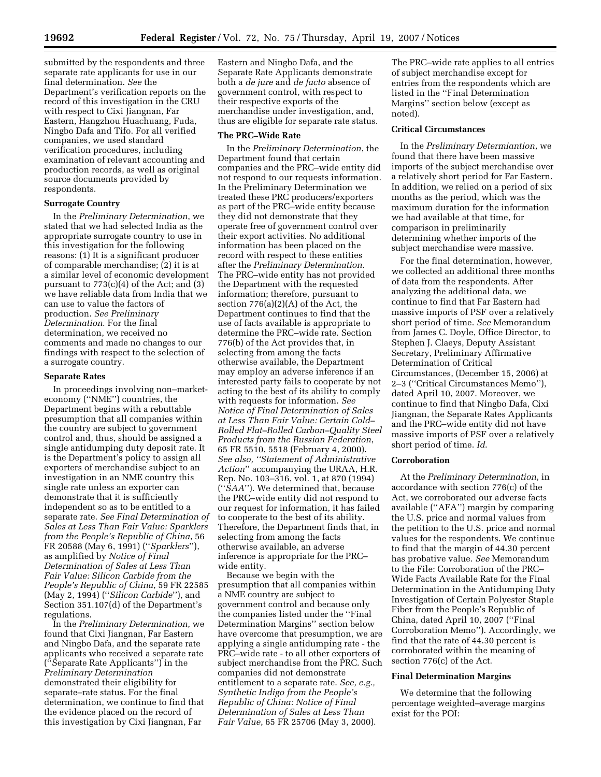submitted by the respondents and three separate rate applicants for use in our final determination. *See* the Department's verification reports on the record of this investigation in the CRU with respect to Cixi Jiangnan, Far Eastern, Hangzhou Huachuang, Fuda, Ningbo Dafa and Tifo. For all verified companies, we used standard verification procedures, including examination of relevant accounting and production records, as well as original source documents provided by respondents.

## **Surrogate Country**

In the *Preliminary Determination*, we stated that we had selected India as the appropriate surrogate country to use in this investigation for the following reasons: (1) It is a significant producer of comparable merchandise; (2) it is at a similar level of economic development pursuant to 773(c)(4) of the Act; and (3) we have reliable data from India that we can use to value the factors of production. *See Preliminary Determination*. For the final determination, we received no comments and made no changes to our findings with respect to the selection of a surrogate country.

### **Separate Rates**

In proceedings involving non–marketeconomy (''NME'') countries, the Department begins with a rebuttable presumption that all companies within the country are subject to government control and, thus, should be assigned a single antidumping duty deposit rate. It is the Department's policy to assign all exporters of merchandise subject to an investigation in an NME country this single rate unless an exporter can demonstrate that it is sufficiently independent so as to be entitled to a separate rate. *See Final Determination of Sales at Less Than Fair Value: Sparklers from the People's Republic of China*, 56 FR 20588 (May 6, 1991) (''*Sparklers*''), as amplified by *Notice of Final Determination of Sales at Less Than Fair Value: Silicon Carbide from the People's Republic of China*, 59 FR 22585 (May 2, 1994) (''*Silicon Carbide*''), and Section 351.107(d) of the Department's regulations.

In the *Preliminary Determination*, we found that Cixi Jiangnan, Far Eastern and Ningbo Dafa, and the separate rate applicants who received a separate rate (''Separate Rate Applicants'') in the *Preliminary Determination*  demonstrated their eligibility for separate–rate status. For the final determination, we continue to find that the evidence placed on the record of this investigation by Cixi Jiangnan, Far

Eastern and Ningbo Dafa, and the Separate Rate Applicants demonstrate both a *de jure* and *de facto* absence of government control, with respect to their respective exports of the merchandise under investigation, and, thus are eligible for separate rate status.

## **The PRC–Wide Rate**

In the *Preliminary Determination*, the Department found that certain companies and the PRC–wide entity did not respond to our requests information. In the Preliminary Determination we treated these PRC producers/exporters as part of the PRC–wide entity because they did not demonstrate that they operate free of government control over their export activities. No additional information has been placed on the record with respect to these entities after the *Preliminary Determination*. The PRC–wide entity has not provided the Department with the requested information; therefore, pursuant to section 776(a)(2)(A) of the Act, the Department continues to find that the use of facts available is appropriate to determine the PRC–wide rate. Section 776(b) of the Act provides that, in selecting from among the facts otherwise available, the Department may employ an adverse inference if an interested party fails to cooperate by not acting to the best of its ability to comply with requests for information. *See Notice of Final Determination of Sales at Less Than Fair Value: Certain Cold– Rolled Flat–Rolled Carbon–Quality Steel Products from the Russian Federation*, 65 FR 5510, 5518 (February 4, 2000). *See also, ''Statement of Administrative Action*'' accompanying the URAA, H.R. Rep. No. 103–316, vol. 1, at 870 (1994) (''*SAA*''). We determined that, because the PRC–wide entity did not respond to our request for information, it has failed to cooperate to the best of its ability. Therefore, the Department finds that, in selecting from among the facts otherwise available, an adverse inference is appropriate for the PRC– wide entity.

Because we begin with the presumption that all companies within a NME country are subject to government control and because only the companies listed under the ''Final Determination Margins'' section below have overcome that presumption, we are applying a single antidumping rate - the PRC–wide rate - to all other exporters of subject merchandise from the PRC. Such companies did not demonstrate entitlement to a separate rate. *See, e.g., Synthetic Indigo from the People's Republic of China: Notice of Final Determination of Sales at Less Than Fair Value*, 65 FR 25706 (May 3, 2000).

The PRC–wide rate applies to all entries of subject merchandise except for entries from the respondents which are listed in the ''Final Determination Margins'' section below (except as noted).

## **Critical Circumstances**

In the *Preliminary Determiantion*, we found that there have been massive imports of the subject merchandise over a relatively short period for Far Eastern. In addition, we relied on a period of six months as the period, which was the maximum duration for the information we had available at that time, for comparison in preliminarily determining whether imports of the subject merchandise were massive.

For the final determination, however, we collected an additional three months of data from the respondents. After analyzing the additional data, we continue to find that Far Eastern had massive imports of PSF over a relatively short period of time. *See* Memorandum from James C. Doyle, Office Director, to Stephen J. Claeys, Deputy Assistant Secretary, Preliminary Affirmative Determination of Critical Circumstances, (December 15, 2006) at 2–3 (''Critical Circumstances Memo''), dated April 10, 2007. Moreover, we continue to find that Ningbo Dafa, Cixi Jiangnan, the Separate Rates Applicants and the PRC–wide entity did not have massive imports of PSF over a relatively short period of time. *Id*.

## **Corroboration**

At the *Preliminary Determination*, in accordance with section 776(c) of the Act, we corroborated our adverse facts available (''AFA'') margin by comparing the U.S. price and normal values from the petition to the U.S. price and normal values for the respondents. We continue to find that the margin of 44.30 percent has probative value. *See* Memorandum to the File: Corroboration of the PRC– Wide Facts Available Rate for the Final Determination in the Antidumping Duty Investigation of Certain Polyester Staple Fiber from the People's Republic of China, dated April 10, 2007 (''Final Corroboration Memo''). Accordingly, we find that the rate of 44.30 percent is corroborated within the meaning of section 776(c) of the Act.

### **Final Determination Margins**

We determine that the following percentage weighted–average margins exist for the POI: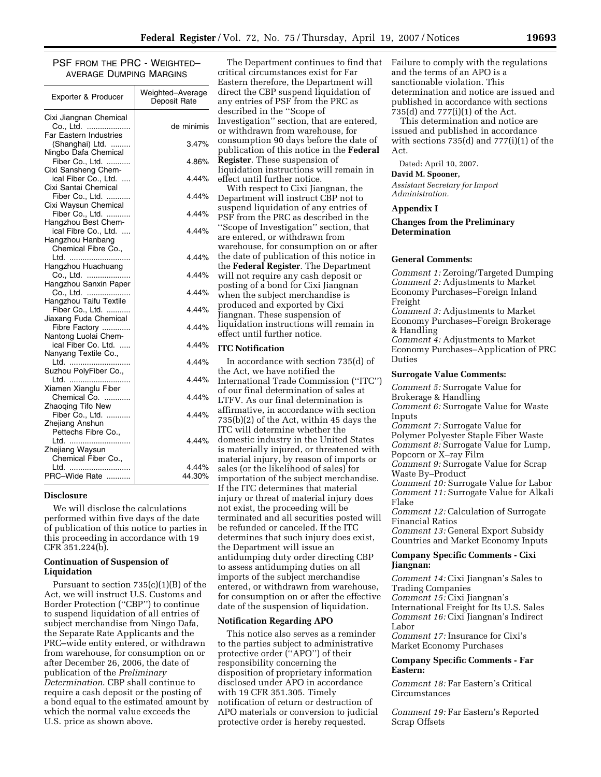PSF FROM THE PRC - WEIGHTED– AVERAGE DUMPING MARGINS

| Exporter & Producer                       | Weighted-Average<br>Deposit Rate |
|-------------------------------------------|----------------------------------|
| Cixi Jiangnan Chemical                    |                                  |
| Co., Ltd.                                 | de minimis                       |
| <b>Far Eastern Industries</b>             |                                  |
| (Shanghai) Ltd.<br>Ningbo Dafa Chemical   | 3.47%                            |
| Fiber Co., Ltd.                           | 4.86%                            |
| Cixi Sansheng Chem-                       |                                  |
| ical Fiber Co., Ltd.                      | 4.44%                            |
| Cixi Santai Chemical                      |                                  |
| Fiber Co., Ltd.                           | 4.44%                            |
| Cixi Waysun Chemical                      |                                  |
| Fiber Co., Ltd.                           | 4.44%                            |
| Hangzhou Best Chem-                       |                                  |
| ical Fibre Co., Ltd.                      | 4.44%                            |
| Hangzhou Hanbang                          |                                  |
| Chemical Fibre Co.,                       |                                  |
| Ltd.                                      | 4.44%                            |
| Hangzhou Huachuang                        |                                  |
| Co., Ltd.                                 | 4.44%                            |
| Hangzhou Sanxin Paper                     |                                  |
| Co., Ltd.                                 | 4.44%                            |
| Hangzhou Taifu Textile<br>Fiber Co., Ltd. | 4.44%                            |
| Jiaxang Fuda Chemical                     |                                  |
| Fibre Factory                             | 4.44%                            |
| Nantong Luolai Chem-                      |                                  |
| ical Fiber Co. Ltd.                       | 4.44%                            |
| Nanyang Textile Co.,                      |                                  |
| Ltd.                                      | 4.44%                            |
| Suzhou PolyFiber Co.,                     |                                  |
| Ltd.                                      | 4.44%                            |
| Xiamen Xianglu Fiber                      |                                  |
| Chemical Co.                              | 4.44%                            |
| Zhaoqing Tifo New                         |                                  |
| Fiber Co., Ltd.                           | 4.44%                            |
| Zhejiang Anshun                           |                                  |
| Pettechs Fibre Co.,                       |                                  |
| Ltd.                                      | 4.44%                            |
| Zhejiang Waysun                           |                                  |
| Chemical Fiber Co.,                       |                                  |
| Ltd.<br>PRC-Wide Rate                     | 4.44%<br>44.30%                  |
| .                                         |                                  |

#### **Disclosure**

We will disclose the calculations performed within five days of the date of publication of this notice to parties in this proceeding in accordance with 19 CFR 351.224(b).

## **Continuation of Suspension of Liquidation**

Pursuant to section 735(c)(1)(B) of the Act, we will instruct U.S. Customs and Border Protection (''CBP'') to continue to suspend liquidation of all entries of subject merchandise from Ningo Dafa, the Separate Rate Applicants and the PRC–wide entity entered, or withdrawn from warehouse, for consumption on or after December 26, 2006, the date of publication of the *Preliminary Determination*. CBP shall continue to require a cash deposit or the posting of a bond equal to the estimated amount by which the normal value exceeds the U.S. price as shown above.

The Department continues to find that critical circumstances exist for Far Eastern therefore, the Department will direct the CBP suspend liquidation of any entries of PSF from the PRC as described in the ''Scope of Investigation'' section, that are entered, or withdrawn from warehouse, for consumption 90 days before the date of publication of this notice in the **Federal Register**. These suspension of liquidation instructions will remain in effect until further notice. With respect to Cixi Jiangnan, the Department will instruct CBP not to suspend liquidation of any entries of PSF from the PRC as described in the

'Scope of Investigation'' section, that are entered, or withdrawn from warehouse, for consumption on or after the date of publication of this notice in the **Federal Register**. The Department will not require any cash deposit or posting of a bond for Cixi Jiangnan when the subject merchandise is produced and exported by Cixi Jiangnan. These suspension of liquidation instructions will remain in effect until further notice.

#### **ITC Notification**

In accordance with section 735(d) of the Act, we have notified the International Trade Commission (''ITC'') of our final determination of sales at LTFV. As our final determination is affirmative, in accordance with section 735(b)(2) of the Act, within 45 days the ITC will determine whether the domestic industry in the United States is materially injured, or threatened with material injury, by reason of imports or sales (or the likelihood of sales) for importation of the subject merchandise. If the ITC determines that material injury or threat of material injury does not exist, the proceeding will be terminated and all securities posted will be refunded or canceled. If the ITC determines that such injury does exist, the Department will issue an antidumping duty order directing CBP to assess antidumping duties on all imports of the subject merchandise entered, or withdrawn from warehouse, for consumption on or after the effective date of the suspension of liquidation.

#### **Notification Regarding APO**

This notice also serves as a reminder to the parties subject to administrative protective order (''APO'') of their responsibility concerning the disposition of proprietary information disclosed under APO in accordance with 19 CFR 351.305. Timely notification of return or destruction of APO materials or conversion to judicial protective order is hereby requested.

Failure to comply with the regulations and the terms of an APO is a sanctionable violation. This determination and notice are issued and published in accordance with sections 735(d) and 777(i)(1) of the Act.

This determination and notice are issued and published in accordance with sections 735(d) and 777(i)(1) of the Act.

Dated: April 10, 2007.

#### **David M. Spooner,**

*Assistant Secretary for Import Administration.* 

#### **Appendix I**

## **Changes from the Preliminary Determination**

## **General Comments:**

*Comment 1:* Zeroing/Targeted Dumping *Comment 2:* Adjustments to Market Economy Purchases–Foreign Inland Freight *Comment 3:* Adjustments to Market Economy Purchases–Foreign Brokerage & Handling *Comment 4:* Adjustments to Market Economy Purchases–Application of PRC Duties

#### **Surrogate Value Comments:**

*Comment 5:* Surrogate Value for Brokerage & Handling *Comment 6:* Surrogate Value for Waste Inputs *Comment 7:* Surrogate Value for Polymer Polyester Staple Fiber Waste *Comment 8:* Surrogate Value for Lump, Popcorn or X–ray Film *Comment 9:* Surrogate Value for Scrap Waste By–Product *Comment 10:* Surrogate Value for Labor *Comment 11:* Surrogate Value for Alkali Flake *Comment 12:* Calculation of Surrogate Financial Ratios *Comment 13:* General Export Subsidy Countries and Market Economy Inputs

### **Company Specific Comments - Cixi Jiangnan:**

*Comment 14:* Cixi Jiangnan's Sales to Trading Companies *Comment 15:* Cixi Jiangnan's International Freight for Its U.S. Sales *Comment 16:* Cixi Jiangnan's Indirect Labor *Comment 17:* Insurance for Cixi's Market Economy Purchases

#### **Company Specific Comments - Far Eastern:**

*Comment 18:* Far Eastern's Critical Circumstances

*Comment 19:* Far Eastern's Reported Scrap Offsets